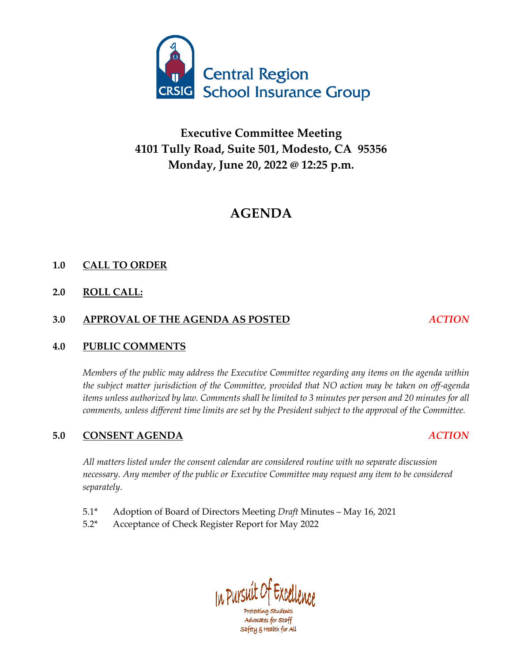

# **Executive Committee Meeting 4101 Tully Road, Suite 501, Modesto, CA 95356 Monday, June 20, 2022 @ 12:25 p.m.**

# **AGENDA**

# **1.0 CALL TO ORDER**

# **2.0 ROLL CALL:**

# **3.0 APPROVAL OF THE AGENDA AS POSTED** *ACTION*

# **4.0 PUBLIC COMMENTS**

*Members of the public may address the Executive Committee regarding any items on the agenda within the subject matter jurisdiction of the Committee, provided that NO action may be taken on off-agenda items unless authorized by law. Comments shall be limited to 3 minutes per person and 20 minutes for all comments, unless different time limits are set by the President subject to the approval of the Committee.*

# **5.0 CONSENT AGENDA** *ACTION*

*All matters listed under the consent calendar are considered routine with no separate discussion necessary. Any member of the public or Executive Committee may request any item to be considered separately.*

- 5.1\* Adoption of Board of Directors Meeting *Draft* Minutes May 16, 2021
- 5.2\* Acceptance of Check Register Report for May 2022

In Pursuit Of Excellen Advocates for staff

safety & Health for All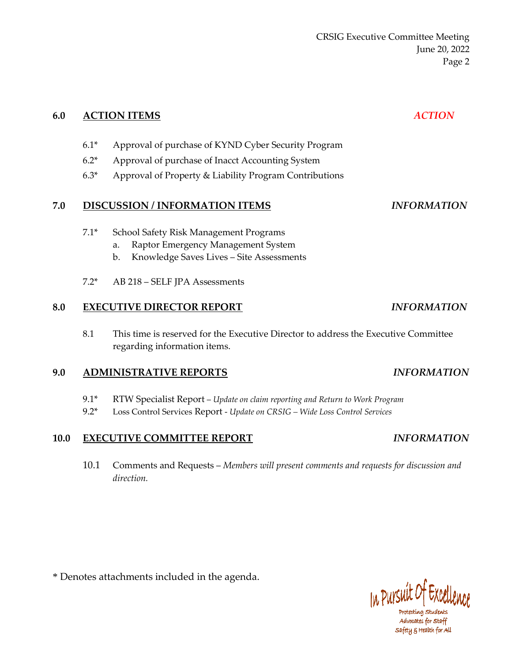CRSIG Executive Committee Meeting June 20, 2022 Page 2

| 6.0 |        | <b>ACTION ITEMS</b>                                                                                                                  | <b>ACTION</b>             |
|-----|--------|--------------------------------------------------------------------------------------------------------------------------------------|---------------------------|
|     | $6.1*$ | Approval of purchase of KYND Cyber Security Program                                                                                  |                           |
|     | $6.2*$ | Approval of purchase of Inacct Accounting System                                                                                     |                           |
|     | $6.3*$ | Approval of Property & Liability Program Contributions                                                                               |                           |
| 7.0 |        | <b>DISCUSSION / INFORMATION ITEMS</b>                                                                                                | <i><b>INFORMATION</b></i> |
|     | $7.1*$ | School Safety Risk Management Programs<br>Raptor Emergency Management System<br>a.<br>Knowledge Saves Lives - Site Assessments<br>b. |                           |

7.2\* AB 218 – SELF JPA Assessments

### **8.0 EXECUTIVE DIRECTOR REPORT** *INFORMATION*

8.1 This time is reserved for the Executive Director to address the Executive Committee regarding information items.

### **9.0 ADMINISTRATIVE REPORTS** *INFORMATION*

- 9.1\* RTW Specialist Report *Update on claim reporting and Return to Work Program*
- 9.2\* Loss Control Services Report *Update on CRSIG – Wide Loss Control Services*

### **10.0 EXECUTIVE COMMITTEE REPORT** *INFORMATION*

10.1 Comments and Requests – *Members will present comments and requests for discussion and direction.*

\* Denotes attachments included in the agenda.



Protecting Students Advocates for staff safety & Health for All